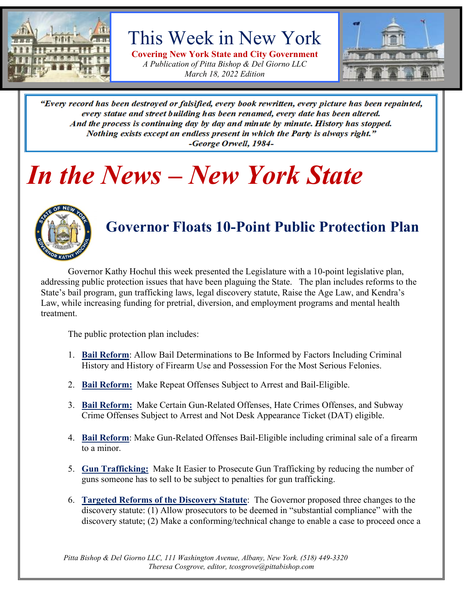

# This Week in New York

**Covering New York State and City Government** *A Publication of Pitta Bishop & Del Giorno LLC March 18, 2022 Edition*



"Every record has been destroyed or falsified, every book rewritten, every picture has been repainted, every statue and street building has been renamed, every date has been altered. And the process is continuing day by day and minute by minute. History has stopped. Nothing exists except an endless present in which the Party is always right." -George Orwell, 1984-

# *In the News – New York State*



## **Governor Floats 10-Point Public Protection Plan**

Governor Kathy Hochul this week presented the Legislature with a 10-point legislative plan, addressing public protection issues that have been plaguing the State. The plan includes reforms to the State's bail program, gun trafficking laws, legal discovery statute, Raise the Age Law, and Kendra's Law, while increasing funding for pretrial, diversion, and employment programs and mental health treatment.

The public protection plan includes:

- 1. **Bail Reform**: Allow Bail Determinations to Be Informed by Factors Including Criminal History and History of Firearm Use and Possession For the Most Serious Felonies.
- 2. **Bail Reform:** Make Repeat Offenses Subject to Arrest and Bail-Eligible.
- 3. **Bail Reform:** Make Certain Gun-Related Offenses, Hate Crimes Offenses, and Subway Crime Offenses Subject to Arrest and Not Desk Appearance Ticket (DAT) eligible.
- 4. **Bail Reform**: Make Gun-Related Offenses Bail-Eligible including criminal sale of a firearm to a minor.
- 5. **Gun Trafficking:** Make It Easier to Prosecute Gun Trafficking by reducing the number of guns someone has to sell to be subject to penalties for gun trafficking.
- 6. **Targeted Reforms of the Discovery Statute**: The Governor proposed three changes to the discovery statute: (1) Allow prosecutors to be deemed in "substantial compliance" with the discovery statute; (2) Make a conforming/technical change to enable a case to proceed once a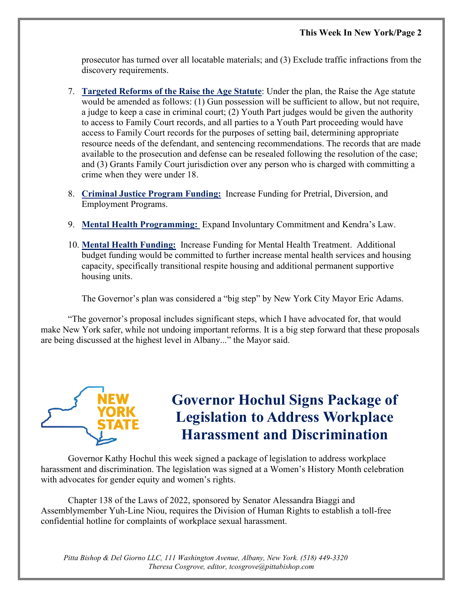prosecutor has turned over all locatable materials; and (3) Exclude traffic infractions from the discovery requirements.

- 7. **Targeted Reforms of the Raise the Age Statute**: Under the plan, the Raise the Age statute would be amended as follows: (1) Gun possession will be sufficient to allow, but not require, a judge to keep a case in criminal court; (2) Youth Part judges would be given the authority to access to Family Court records, and all parties to a Youth Part proceeding would have access to Family Court records for the purposes of setting bail, determining appropriate resource needs of the defendant, and sentencing recommendations. The records that are made available to the prosecution and defense can be resealed following the resolution of the case; and (3) Grants Family Court jurisdiction over any person who is charged with committing a crime when they were under 18.
- 8. **Criminal Justice Program Funding:** Increase Funding for Pretrial, Diversion, and Employment Programs.
- 9. **Mental Health Programming:** Expand Involuntary Commitment and Kendra's Law.
- 10. **Mental Health Funding:** Increase Funding for Mental Health Treatment. Additional budget funding would be committed to further increase mental health services and housing capacity, specifically transitional respite housing and additional permanent supportive housing units.

The Governor's plan was considered a "big step" by New York City Mayor Eric Adams.

"The governor's proposal includes significant steps, which I have advocated for, that would make New York safer, while not undoing important reforms. It is a big step forward that these proposals are being discussed at the highest level in Albany..." the Mayor said.



## **Governor Hochul Signs Package of Legislation to Address Workplace Harassment and Discrimination**

Governor Kathy Hochul this week signed a package of legislation to address workplace harassment and discrimination. The legislation was signed at a Women's History Month celebration with advocates for gender equity and women's rights.

Chapter 138 of the Laws of 2022, sponsored by Senator Alessandra Biaggi and Assemblymember Yuh-Line Niou, requires the Division of Human Rights to establish a toll-free confidential hotline for complaints of workplace sexual harassment.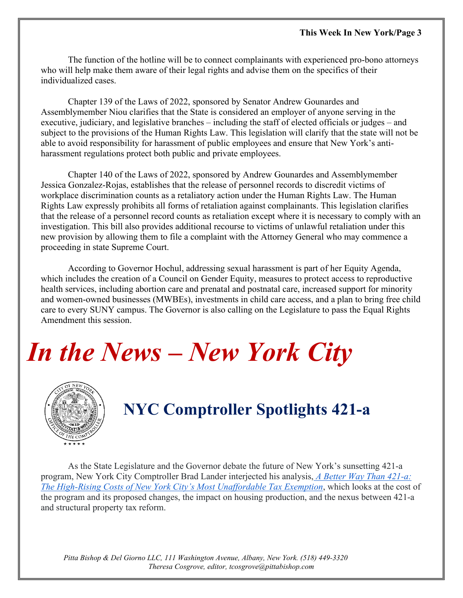The function of the hotline will be to connect complainants with experienced pro-bono attorneys who will help make them aware of their legal rights and advise them on the specifics of their individualized cases.

Chapter 139 of the Laws of 2022, sponsored by Senator Andrew Gounardes and Assemblymember Niou clarifies that the State is considered an employer of anyone serving in the executive, judiciary, and legislative branches – including the staff of elected officials or judges – and subject to the provisions of the Human Rights Law. This legislation will clarify that the state will not be able to avoid responsibility for harassment of public employees and ensure that New York's antiharassment regulations protect both public and private employees.

Chapter 140 of the Laws of 2022, sponsored by Andrew Gounardes and Assemblymember Jessica Gonzalez-Rojas, establishes that the release of personnel records to discredit victims of workplace discrimination counts as a retaliatory action under the Human Rights Law. The Human Rights Law expressly prohibits all forms of retaliation against complainants. This legislation clarifies that the release of a personnel record counts as retaliation except where it is necessary to comply with an investigation. This bill also provides additional recourse to victims of unlawful retaliation under this new provision by allowing them to file a complaint with the Attorney General who may commence a proceeding in state Supreme Court.

According to Governor Hochul, addressing sexual harassment is part of her Equity Agenda, which includes the creation of a Council on Gender Equity, measures to protect access to reproductive health services, including abortion care and prenatal and postnatal care, increased support for minority and women-owned businesses (MWBEs), investments in child care access, and a plan to bring free child care to every SUNY campus. The Governor is also calling on the Legislature to pass the Equal Rights Amendment this session.

# *In the News – New York City*



# **NYC Comptroller Spotlights 421-a**

As the State Legislature and the Governor debate the future of New York's sunsetting 421-a program, New York City Comptroller Brad Lander interjected his analysis, *[A Better Way Than 421-a:](https://comptroller.nyc.gov/reports/a-better-way-than-421a)  [The High-Rising Costs of New York City's Most Unaffordable Tax Exemption](https://comptroller.nyc.gov/reports/a-better-way-than-421a)*, which looks at the cost of the program and its proposed changes, the impact on housing production, and the nexus between 421-a and structural property tax reform.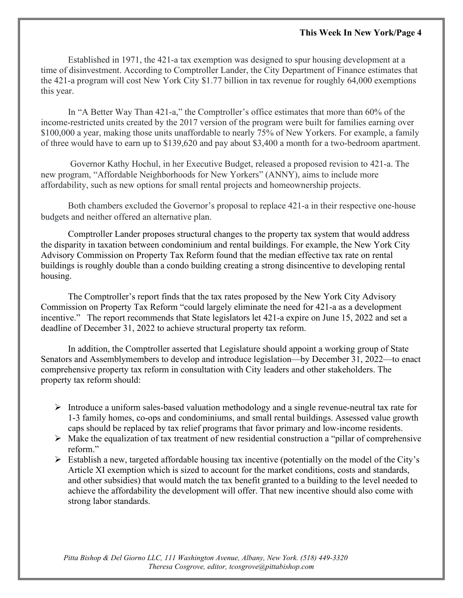#### **This Week In New York/Page 4**

Established in 1971, the 421-a tax exemption was designed to spur housing development at a time of disinvestment. According to Comptroller Lander, the City Department of Finance estimates that the 421-a program will cost New York City \$1.77 billion in tax revenue for roughly 64,000 exemptions this year.

In "A Better Way Than 421-a," the Comptroller's office estimates that more than 60% of the income-restricted units created by the 2017 version of the program were built for families earning over \$100,000 a year, making those units unaffordable to nearly 75% of New Yorkers. For example, a family of three would have to earn up to \$139,620 and pay about \$3,400 a month for a two-bedroom apartment.

Governor Kathy Hochul, in her Executive Budget, released a proposed revision to 421-a. The new program, "Affordable Neighborhoods for New Yorkers" (ANNY), aims to include more affordability, such as new options for small rental projects and homeownership projects.

Both chambers excluded the Governor's proposal to replace 421-a in their respective one-house budgets and neither offered an alternative plan.

Comptroller Lander proposes structural changes to the property tax system that would address the disparity in taxation between condominium and rental buildings. For example, the New York City Advisory Commission on Property Tax Reform found that the median effective tax rate on rental buildings is roughly double than a condo building creating a strong disincentive to developing rental housing.

The Comptroller's report finds that the tax rates proposed by the New York City Advisory Commission on Property Tax Reform "could largely eliminate the need for 421-a as a development incentive." The report recommends that State legislators let 421-a expire on June 15, 2022 and set a deadline of December 31, 2022 to achieve structural property tax reform.

In addition, the Comptroller asserted that Legislature should appoint a working group of State Senators and Assemblymembers to develop and introduce legislation—by December 31, 2022—to enact comprehensive property tax reform in consultation with City leaders and other stakeholders. The property tax reform should:

- Introduce a uniform sales-based valuation methodology and a single revenue-neutral tax rate for 1-3 family homes, co-ops and condominiums, and small rental buildings. Assessed value growth caps should be replaced by tax relief programs that favor primary and low-income residents.
- $\triangleright$  Make the equalization of tax treatment of new residential construction a "pillar of comprehensive" reform."
- $\triangleright$  Establish a new, targeted affordable housing tax incentive (potentially on the model of the City's Article XI exemption which is sized to account for the market conditions, costs and standards, and other subsidies) that would match the tax benefit granted to a building to the level needed to achieve the affordability the development will offer. That new incentive should also come with strong labor standards.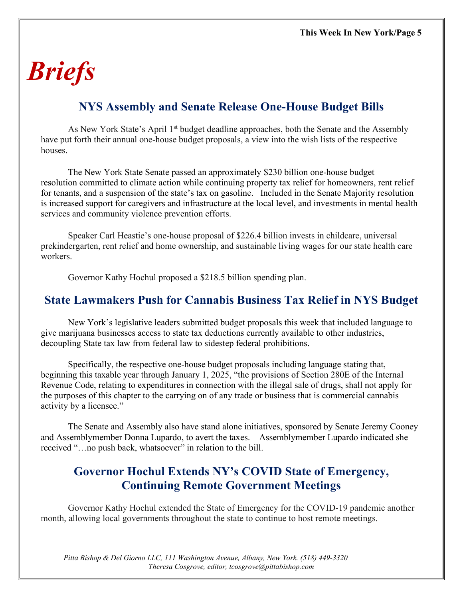# *Briefs*

### **NYS Assembly and Senate Release One-House Budget Bills**

As New York State's April 1<sup>st</sup> budget deadline approaches, both the Senate and the Assembly have put forth their annual one-house budget proposals, a view into the wish lists of the respective houses.

The New York State Senate passed an approximately \$230 billion one-house budget resolution committed to climate action while continuing property tax relief for homeowners, rent relief for tenants, and a suspension of the state's tax on gasoline. Included in the Senate Majority resolution is increased support for caregivers and infrastructure at the local level, and investments in mental health services and community violence prevention efforts.

Speaker Carl Heastie's one-house proposal of \$226.4 billion invests in childcare, universal prekindergarten, rent relief and home ownership, and sustainable living wages for our state health care workers.

Governor Kathy Hochul proposed a \$218.5 billion spending plan.

#### **State Lawmakers Push for Cannabis Business Tax Relief in NYS Budget**

New York's legislative leaders submitted budget proposals this week that included language to give marijuana businesses access to state tax deductions currently available to other industries, decoupling State tax law from federal law to sidestep federal prohibitions.

Specifically, the respective one-house budget proposals including language stating that, beginning this taxable year through January 1, 2025, "the provisions of Section 280E of the Internal Revenue Code, relating to expenditures in connection with the illegal sale of drugs, shall not apply for the purposes of this chapter to the carrying on of any trade or business that is commercial cannabis activity by a licensee."

The Senate and Assembly also have stand alone initiatives, sponsored by Senate Jeremy Cooney and Assemblymember Donna Lupardo, to avert the taxes. Assemblymember Lupardo indicated she received "…no push back, whatsoever" in relation to the bill.

### **Governor Hochul Extends NY's COVID State of Emergency, Continuing Remote Government Meetings**

Governor Kathy Hochul extended the State of Emergency for the COVID-19 pandemic another month, allowing local governments throughout the state to continue to host remote meetings.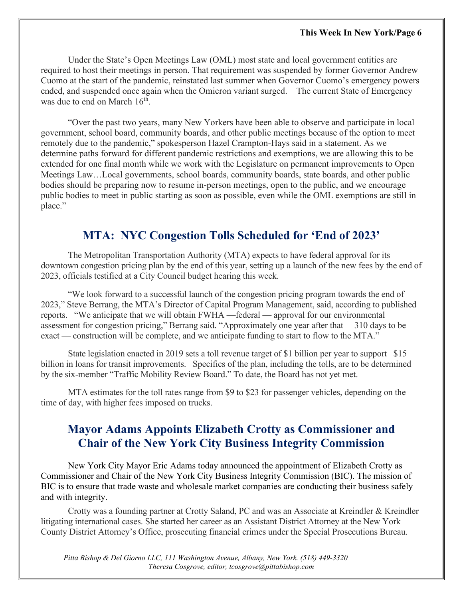Under the State's Open Meetings Law (OML) most state and local government entities are required to host their meetings in person. That requirement was suspended by former Governor Andrew Cuomo at the start of the pandemic, reinstated last summer when Governor Cuomo's emergency powers ended, and suspended once again when the Omicron variant surged. The current State of Emergency was due to end on March  $16<sup>th</sup>$ .

"Over the past two years, many New Yorkers have been able to observe and participate in local government, school board, community boards, and other public meetings because of the option to meet remotely due to the pandemic," spokesperson Hazel Crampton-Hays said in a statement. As we determine paths forward for different pandemic restrictions and exemptions, we are allowing this to be extended for one final month while we work with the Legislature on permanent improvements to Open Meetings Law…Local governments, school boards, community boards, state boards, and other public bodies should be preparing now to resume in-person meetings, open to the public, and we encourage public bodies to meet in public starting as soon as possible, even while the OML exemptions are still in place."

#### **MTA: NYC Congestion Tolls Scheduled for 'End of 2023'**

The Metropolitan Transportation Authority (MTA) expects to have federal approval for its downtown congestion pricing plan by the end of this year, setting up a launch of the new fees by the end of 2023, officials testified at a City Council budget hearing this week.

"We look forward to a successful launch of the congestion pricing program towards the end of 2023," Steve Berrang, the MTA's Director of Capital Program Management, said, according to published reports. "We anticipate that we will obtain FWHA —federal — approval for our environmental assessment for congestion pricing," Berrang said. "Approximately one year after that —310 days to be exact — construction will be complete, and we anticipate funding to start to flow to the MTA."

State legislation enacted in 2019 sets a toll revenue target of \$1 billion per year to support \$15 billion in loans for transit improvements. Specifics of the plan, including the tolls, are to be determined by the six-member "Traffic Mobility Review Board." To date, the Board has not yet met.

MTA estimates for the toll rates range from \$9 to \$23 for passenger vehicles, depending on the time of day, with higher fees imposed on trucks.

### **Mayor Adams Appoints Elizabeth Crotty as Commissioner and Chair of the New York City Business Integrity Commission**

New York City Mayor Eric Adams today announced the appointment of Elizabeth Crotty as Commissioner and Chair of the New York City Business Integrity Commission (BIC). The mission of BIC is to ensure that trade waste and wholesale market companies are conducting their business safely and with integrity.

Crotty was a founding partner at Crotty Saland, PC and was an Associate at Kreindler & Kreindler litigating international cases. She started her career as an Assistant District Attorney at the New York County District Attorney's Office, prosecuting financial crimes under the Special Prosecutions Bureau.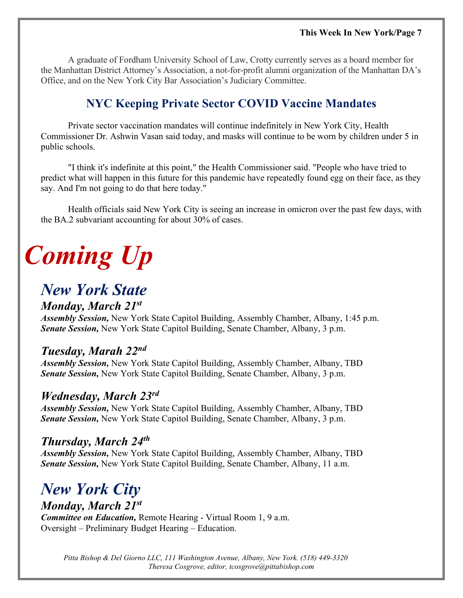A graduate of Fordham University School of Law, Crotty currently serves as a board member for the Manhattan District Attorney's Association, a not-for-profit alumni organization of the Manhattan DA's Office, and on the New York City Bar Association's Judiciary Committee.

## **NYC Keeping Private Sector COVID Vaccine Mandates**

Private sector vaccination mandates will continue indefinitely in New York City, Health Commissioner Dr. Ashwin Vasan said today, and masks will continue to be worn by children under 5 in public schools.

"I think it's indefinite at this point," the Health Commissioner said. "People who have tried to predict what will happen in this future for this pandemic have repeatedly found egg on their face, as they say. And I'm not going to do that here today."

Health officials said New York City is seeing an increase in omicron over the past few days, with the BA.2 subvariant accounting for about 30% of cases.

# *Coming Up*

## *New York State*

#### *Monday, March 21st*

*Assembly Session,* New York State Capitol Building, Assembly Chamber, Albany, 1:45 p.m. *Senate Session,* New York State Capitol Building, Senate Chamber, Albany, 3 p.m.

### *Tuesday, Marah 22nd*

*Assembly Session,* New York State Capitol Building, Assembly Chamber, Albany, TBD *Senate Session,* New York State Capitol Building, Senate Chamber, Albany, 3 p.m.

#### *Wednesday, March 23rd*

*Assembly Session,* New York State Capitol Building, Assembly Chamber, Albany, TBD *Senate Session,* New York State Capitol Building, Senate Chamber, Albany, 3 p.m.

### *Thursday, March 24th*

*Assembly Session,* New York State Capitol Building, Assembly Chamber, Albany, TBD *Senate Session,* New York State Capitol Building, Senate Chamber, Albany, 11 a.m.

# *New York City*

*Monday, March 21st*

*Committee on Education,* Remote Hearing - Virtual Room 1, 9 a.m. Oversight – Preliminary Budget Hearing – Education.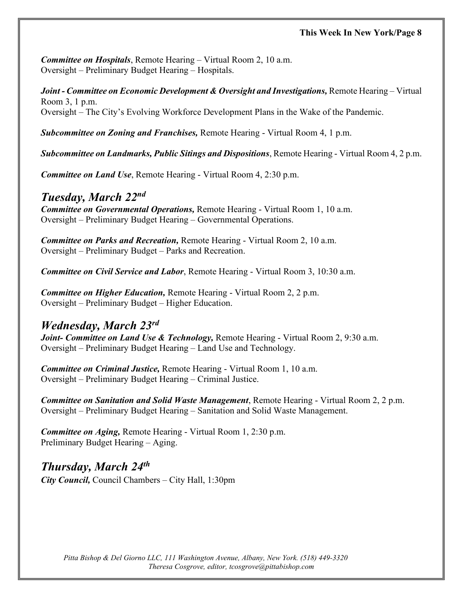#### **This Week In New York/Page 8**

*Committee on Hospitals*, Remote Hearing – Virtual Room 2, 10 a.m. Oversight – Preliminary Budget Hearing – Hospitals.

*Joint - Committee on Economic Development & Oversight and Investigations,* Remote Hearing – Virtual Room 3, 1 p.m. Oversight – The City's Evolving Workforce Development Plans in the Wake of the Pandemic.

*Subcommittee on Zoning and Franchises,* Remote Hearing - Virtual Room 4, 1 p.m.

*Subcommittee on Landmarks, Public Sitings and Dispositions*, Remote Hearing - Virtual Room 4, 2 p.m.

*Committee on Land Use*, Remote Hearing - Virtual Room 4, 2:30 p.m.

#### *Tuesday, March 22nd*

*Committee on Governmental Operations,* Remote Hearing - Virtual Room 1, 10 a.m. Oversight – Preliminary Budget Hearing – Governmental Operations.

*Committee on Parks and Recreation,* Remote Hearing - Virtual Room 2, 10 a.m. Oversight – Preliminary Budget – Parks and Recreation.

*Committee on Civil Service and Labor*, Remote Hearing - Virtual Room 3, 10:30 a.m.

*Committee on Higher Education,* Remote Hearing - Virtual Room 2, 2 p.m. Oversight – Preliminary Budget – Higher Education.

#### *Wednesday, March 23rd*

*Joint- Committee on Land Use & Technology,* Remote Hearing - Virtual Room 2, 9:30 a.m. Oversight – Preliminary Budget Hearing – Land Use and Technology.

*Committee on Criminal Justice,* Remote Hearing - Virtual Room 1, 10 a.m. Oversight – Preliminary Budget Hearing – Criminal Justice.

*Committee on Sanitation and Solid Waste Management*, Remote Hearing - Virtual Room 2, 2 p.m. Oversight – Preliminary Budget Hearing – Sanitation and Solid Waste Management.

*Committee on Aging,* Remote Hearing - Virtual Room 1, 2:30 p.m. Preliminary Budget Hearing – Aging.

*Thursday, March 24th City Council,* Council Chambers – City Hall, 1:30pm